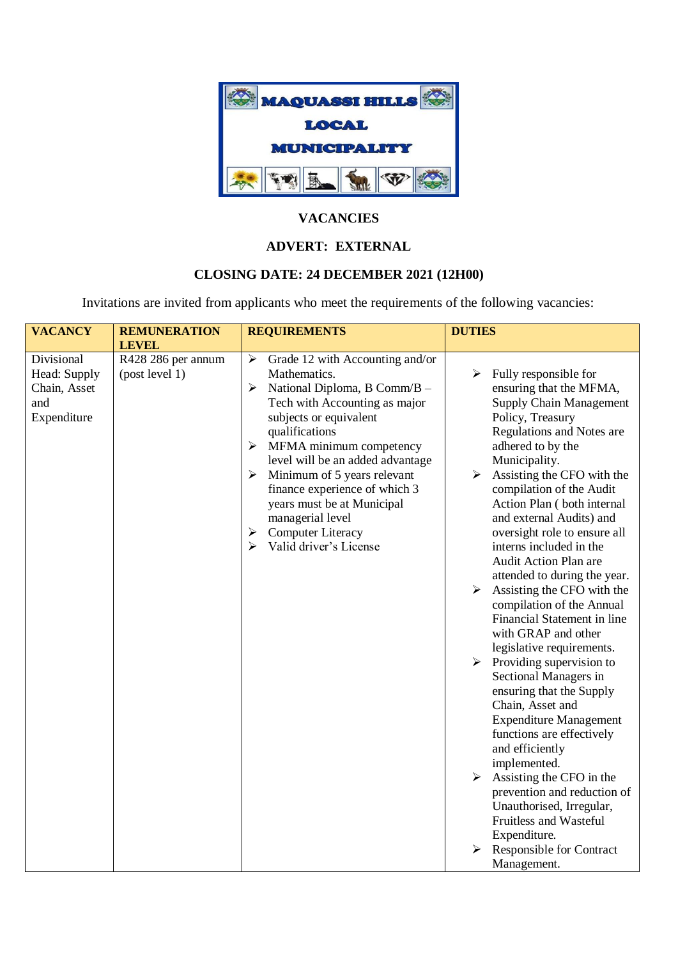

## **VACANCIES**

## **ADVERT: EXTERNAL**

## **CLOSING DATE: 24 DECEMBER 2021 (12H00)**

Invitations are invited from applicants who meet the requirements of the following vacancies:

| <b>VACANCY</b>                                                   | <b>REMUNERATION</b>                                  | <b>REQUIREMENTS</b>                                                                                                                                                                                                                                                                                                                                                                                                                                   | <b>DUTIES</b>                                                                                                                                                                                                                                                                                                                                                                                                                                                                                                                                                                                                                                                                                                                                                                                                                                                                          |  |  |
|------------------------------------------------------------------|------------------------------------------------------|-------------------------------------------------------------------------------------------------------------------------------------------------------------------------------------------------------------------------------------------------------------------------------------------------------------------------------------------------------------------------------------------------------------------------------------------------------|----------------------------------------------------------------------------------------------------------------------------------------------------------------------------------------------------------------------------------------------------------------------------------------------------------------------------------------------------------------------------------------------------------------------------------------------------------------------------------------------------------------------------------------------------------------------------------------------------------------------------------------------------------------------------------------------------------------------------------------------------------------------------------------------------------------------------------------------------------------------------------------|--|--|
|                                                                  |                                                      |                                                                                                                                                                                                                                                                                                                                                                                                                                                       |                                                                                                                                                                                                                                                                                                                                                                                                                                                                                                                                                                                                                                                                                                                                                                                                                                                                                        |  |  |
| Divisional<br>Head: Supply<br>Chain, Asset<br>and<br>Expenditure | <b>LEVEL</b><br>R428 286 per annum<br>(post level 1) | ➤<br>Grade 12 with Accounting and/or<br>Mathematics.<br>$\blacktriangleright$<br>National Diploma, B Comm/B -<br>Tech with Accounting as major<br>subjects or equivalent<br>qualifications<br>MFMA minimum competency<br>➤<br>level will be an added advantage<br>Minimum of 5 years relevant<br>➤<br>finance experience of which 3<br>years must be at Municipal<br>managerial level<br><b>Computer Literacy</b><br>➤<br>Valid driver's License<br>≻ | ➤<br>Fully responsible for<br>ensuring that the MFMA,<br><b>Supply Chain Management</b><br>Policy, Treasury<br>Regulations and Notes are<br>adhered to by the<br>Municipality.<br>Assisting the CFO with the<br>$\blacktriangleright$<br>compilation of the Audit<br>Action Plan (both internal<br>and external Audits) and<br>oversight role to ensure all<br>interns included in the<br>Audit Action Plan are<br>attended to during the year.<br>Assisting the CFO with the<br>$\blacktriangleright$<br>compilation of the Annual<br>Financial Statement in line<br>with GRAP and other<br>legislative requirements.<br>Providing supervision to<br>$\blacktriangleright$<br>Sectional Managers in<br>ensuring that the Supply<br>Chain, Asset and<br><b>Expenditure Management</b><br>functions are effectively<br>and efficiently<br>implemented.<br>Assisting the CFO in the<br>➤ |  |  |
|                                                                  |                                                      |                                                                                                                                                                                                                                                                                                                                                                                                                                                       | prevention and reduction of<br>Unauthorised, Irregular,<br>Fruitless and Wasteful<br>Expenditure.<br><b>Responsible for Contract</b>                                                                                                                                                                                                                                                                                                                                                                                                                                                                                                                                                                                                                                                                                                                                                   |  |  |
|                                                                  |                                                      |                                                                                                                                                                                                                                                                                                                                                                                                                                                       | Management.                                                                                                                                                                                                                                                                                                                                                                                                                                                                                                                                                                                                                                                                                                                                                                                                                                                                            |  |  |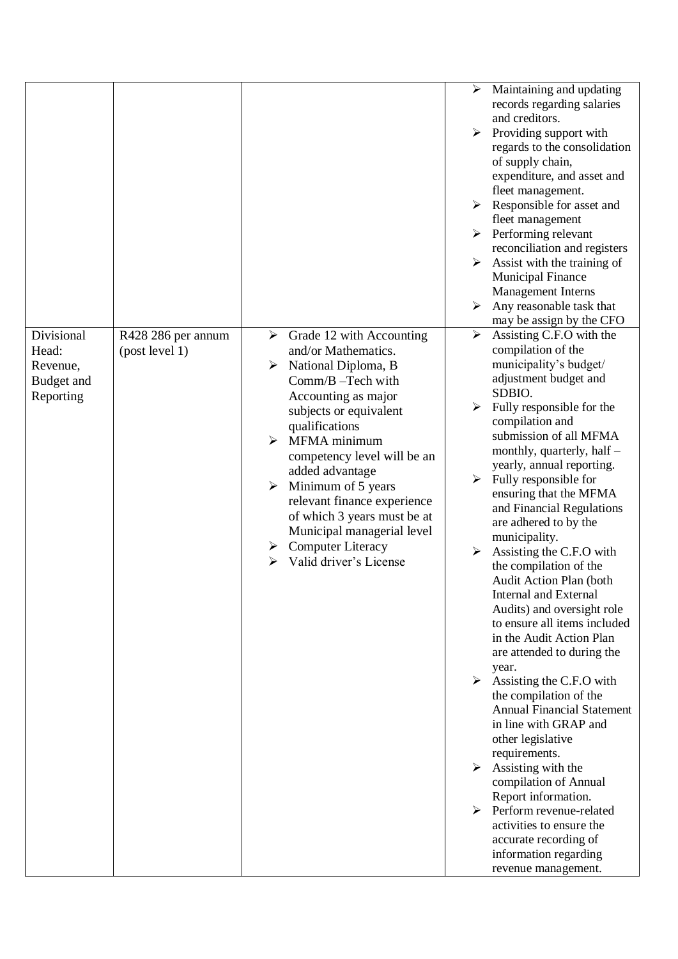|                                                            |                                      |                                                                                                                                                                                                                                                                                                                                                                                                                                       | $\blacktriangleright$<br>Maintaining and updating<br>records regarding salaries<br>and creditors.<br>$\blacktriangleright$<br>Providing support with<br>regards to the consolidation<br>of supply chain,<br>expenditure, and asset and<br>fleet management.<br>$\triangleright$ Responsible for asset and<br>fleet management<br>Performing relevant<br>$\blacktriangleright$<br>reconciliation and registers<br>Assist with the training of<br>➤<br><b>Municipal Finance</b><br>Management Interns<br>$\blacktriangleright$<br>Any reasonable task that<br>may be assign by the CFO                                                                                                                                                                                                                                                                                                                                                                                                                                                                                                   |
|------------------------------------------------------------|--------------------------------------|---------------------------------------------------------------------------------------------------------------------------------------------------------------------------------------------------------------------------------------------------------------------------------------------------------------------------------------------------------------------------------------------------------------------------------------|----------------------------------------------------------------------------------------------------------------------------------------------------------------------------------------------------------------------------------------------------------------------------------------------------------------------------------------------------------------------------------------------------------------------------------------------------------------------------------------------------------------------------------------------------------------------------------------------------------------------------------------------------------------------------------------------------------------------------------------------------------------------------------------------------------------------------------------------------------------------------------------------------------------------------------------------------------------------------------------------------------------------------------------------------------------------------------------|
| Divisional<br>Head:<br>Revenue,<br>Budget and<br>Reporting | R428 286 per annum<br>(post level 1) | Grade 12 with Accounting<br>➤<br>and/or Mathematics.<br>National Diploma, B<br>➤<br>Comm/B-Tech with<br>Accounting as major<br>subjects or equivalent<br>qualifications<br>MFMA minimum<br>≻<br>competency level will be an<br>added advantage<br>Minimum of 5 years<br>➤<br>relevant finance experience<br>of which 3 years must be at<br>Municipal managerial level<br><b>Computer Literacy</b><br>➤<br>Valid driver's License<br>≻ | Assisting C.F.O with the<br>➤<br>compilation of the<br>municipality's budget/<br>adjustment budget and<br>SDBIO.<br>Fully responsible for the<br>➤<br>compilation and<br>submission of all MFMA<br>monthly, quarterly, half -<br>yearly, annual reporting.<br>Fully responsible for<br>➤<br>ensuring that the MFMA<br>and Financial Regulations<br>are adhered to by the<br>municipality.<br>Assisting the C.F.O with<br>$\blacktriangleright$<br>the compilation of the<br>Audit Action Plan (both<br><b>Internal and External</b><br>Audits) and oversight role<br>to ensure all items included<br>in the Audit Action Plan<br>are attended to during the<br>year.<br>$\blacktriangleright$<br>Assisting the C.F.O with<br>the compilation of the<br><b>Annual Financial Statement</b><br>in line with GRAP and<br>other legislative<br>requirements.<br>Assisting with the<br>compilation of Annual<br>Report information.<br>Perform revenue-related<br>$\blacktriangleright$<br>activities to ensure the<br>accurate recording of<br>information regarding<br>revenue management. |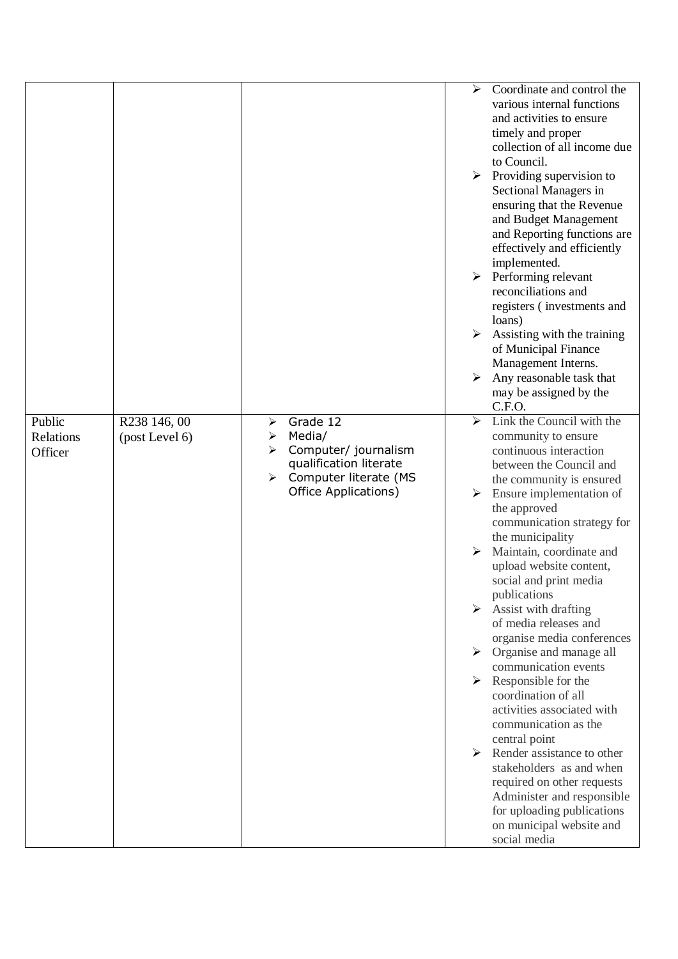|                                |                                |                                                                                                                                           | ⋗                     | Coordinate and control the<br>various internal functions<br>and activities to ensure<br>timely and proper<br>collection of all income due<br>to Council.                              |
|--------------------------------|--------------------------------|-------------------------------------------------------------------------------------------------------------------------------------------|-----------------------|---------------------------------------------------------------------------------------------------------------------------------------------------------------------------------------|
|                                |                                |                                                                                                                                           | ➤                     | Providing supervision to<br>Sectional Managers in<br>ensuring that the Revenue<br>and Budget Management<br>and Reporting functions are<br>effectively and efficiently<br>implemented. |
|                                |                                |                                                                                                                                           | $\blacktriangleright$ | Performing relevant<br>reconciliations and<br>registers (investments and<br>loans)                                                                                                    |
|                                |                                |                                                                                                                                           | ➤                     | Assisting with the training<br>of Municipal Finance<br>Management Interns.                                                                                                            |
|                                |                                |                                                                                                                                           |                       | Any reasonable task that<br>may be assigned by the<br>C.F.O.                                                                                                                          |
| Public<br>Relations<br>Officer | R238 146, 00<br>(post Level 6) | Grade 12<br>➤<br>Media/<br>➤<br>Computer/ journalism<br>➤<br>qualification literate<br>Computer literate (MS<br>➤<br>Office Applications) | $\blacktriangleright$ | Link the Council with the<br>community to ensure<br>continuous interaction<br>between the Council and<br>the community is ensured                                                     |
|                                |                                |                                                                                                                                           | ≻                     | Ensure implementation of<br>the approved<br>communication strategy for<br>the municipality                                                                                            |
|                                |                                |                                                                                                                                           | ➤                     | Maintain, coordinate and<br>upload website content,<br>social and print media<br>publications                                                                                         |
|                                |                                |                                                                                                                                           | ➤                     | Assist with drafting<br>of media releases and<br>organise media conferences                                                                                                           |
|                                |                                |                                                                                                                                           |                       | $\triangleright$ Organise and manage all<br>communication events<br>Responsible for the                                                                                               |
|                                |                                |                                                                                                                                           |                       | coordination of all<br>activities associated with<br>communication as the                                                                                                             |
|                                |                                |                                                                                                                                           | ➤                     | central point<br>Render assistance to other<br>stakeholders as and when<br>required on other requests                                                                                 |
|                                |                                |                                                                                                                                           |                       | Administer and responsible<br>for uploading publications<br>on municipal website and<br>social media                                                                                  |